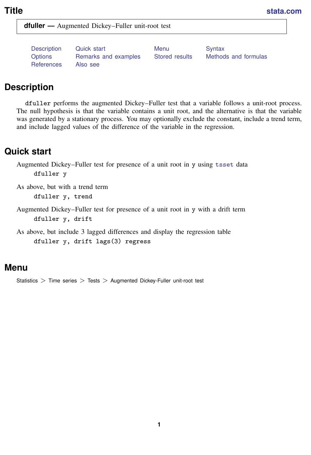<span id="page-0-3"></span>**dfuller —** Augmented Dickey–Fuller unit-root test

[References](#page-5-0) [Also see](#page-5-1)

[Description](#page-0-0) [Quick start](#page-0-1) [Menu](#page-0-2) Menu [Syntax](#page-1-0) [Options](#page-1-1) [Remarks and examples](#page-1-2) [Stored results](#page-4-0) [Methods and formulas](#page-4-1)

# <span id="page-0-0"></span>**Description**

dfuller performs the augmented Dickey–Fuller test that a variable follows a unit-root process. The null hypothesis is that the variable contains a unit root, and the alternative is that the variable was generated by a stationary process. You may optionally exclude the constant, include a trend term, and include lagged values of the difference of the variable in the regression.

# <span id="page-0-1"></span>**Quick start**

Augmented Dickey–Fuller test for presence of a unit root in y using [tsset](http://www.stata.com/manuals15/tstsset.pdf#tstsset) data dfuller y

As above, but with a trend term dfuller y, trend

Augmented Dickey–Fuller test for presence of a unit root in y with a drift term dfuller y, drift

<span id="page-0-2"></span>As above, but include 3 lagged differences and display the regression table dfuller y, drift lags(3) regress

## **Menu**

Statistics  $>$  Time series  $>$  Tests  $>$  Augmented Dickey-Fuller unit-root test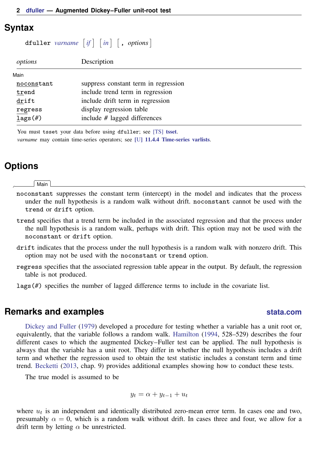### <span id="page-1-0"></span>**Syntax**

 $\texttt{dfuller}$  *[varname](http://www.stata.com/manuals15/u11.pdf#u11.4varnameandvarlists)*  $\begin{bmatrix} if \end{bmatrix}$  $\begin{bmatrix} if \end{bmatrix}$  $\begin{bmatrix} if \end{bmatrix}$   $\begin{bmatrix} in \end{bmatrix}$  $\begin{bmatrix} in \end{bmatrix}$  $\begin{bmatrix} in \end{bmatrix}$   $\begin{bmatrix} , \text{ options} \end{bmatrix}$ 

| options                     | Description                          |
|-----------------------------|--------------------------------------|
| Main                        |                                      |
| noconstant                  | suppress constant term in regression |
| trend                       | include trend term in regression     |
| drift                       | include drift term in regression     |
| $regress$                   | display regression table             |
| $_{\frac{1}{2}}$ ags $(\#)$ | include # lagged differences         |

<span id="page-1-1"></span>You must tsset your data before using dfuller; see [\[TS\]](http://www.stata.com/manuals15/tstsset.pdf#tstsset) tsset. *varname* may contain time-series operators; see [U[\] 11.4.4 Time-series varlists](http://www.stata.com/manuals15/u11.pdf#u11.4.4Time-seriesvarlists).

#### **Options**

 $\overline{a}$ 

#### [Main] Main  $\Box$

- noconstant suppresses the constant term (intercept) in the model and indicates that the process under the null hypothesis is a random walk without drift. noconstant cannot be used with the trend or drift option.
- trend specifies that a trend term be included in the associated regression and that the process under the null hypothesis is a random walk, perhaps with drift. This option may not be used with the noconstant or drift option.
- drift indicates that the process under the null hypothesis is a random walk with nonzero drift. This option may not be used with the noconstant or trend option.
- regress specifies that the associated regression table appear in the output. By default, the regression table is not produced.
- <span id="page-1-2"></span>lags(*#*) specifies the number of lagged difference terms to include in the covariate list.

#### **Remarks and examples [stata.com](http://stata.com)**

[Dickey and Fuller](#page-5-2) [\(1979](#page-5-2)) developed a procedure for testing whether a variable has a unit root or, equivalently, that the variable follows a random walk. [Hamilton](#page-5-3) [\(1994](#page-5-3), 528–529) describes the four different cases to which the augmented Dickey–Fuller test can be applied. The null hypothesis is always that the variable has a unit root. They differ in whether the null hypothesis includes a drift term and whether the regression used to obtain the test statistic includes a constant term and time trend. [Becketti](#page-5-4) [\(2013,](#page-5-4) chap. 9) provides additional examples showing how to conduct these tests.

The true model is assumed to be

$$
y_t = \alpha + y_{t-1} + u_t
$$

where  $u_t$  is an independent and identically distributed zero-mean error term. In cases one and two, presumably  $\alpha = 0$ , which is a random walk without drift. In cases three and four, we allow for a drift term by letting  $\alpha$  be unrestricted.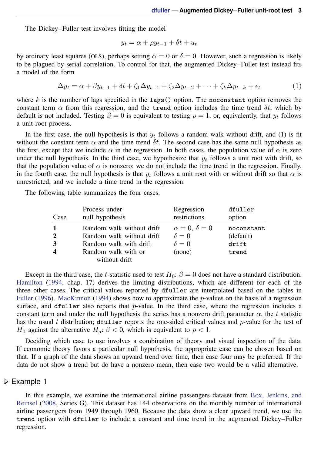The Dickey–Fuller test involves fitting the model

$$
y_t = \alpha + \rho y_{t-1} + \delta t + u_t
$$

by ordinary least squares (OLS), perhaps setting  $\alpha = 0$  or  $\delta = 0$ . However, such a regression is likely to be plagued by serial correlation. To control for that, the augmented Dickey–Fuller test instead fits a model of the form

$$
\Delta y_t = \alpha + \beta y_{t-1} + \delta t + \zeta_1 \Delta y_{t-1} + \zeta_2 \Delta y_{t-2} + \dots + \zeta_k \Delta y_{t-k} + \epsilon_t \tag{1}
$$

where  $k$  is the number of lags specified in the lags() option. The noconstant option removes the constant term  $\alpha$  from this regression, and the trend option includes the time trend  $\delta t$ , which by default is not included. Testing  $\beta = 0$  is equivalent to testing  $\rho = 1$ , or, equivalently, that  $y_t$  follows a unit root process.

In the first case, the null hypothesis is that  $y_t$  follows a random walk without drift, and (1) is fit without the constant term  $\alpha$  and the time trend  $\delta t$ . The second case has the same null hypothesis as the first, except that we include  $\alpha$  in the regression. In both cases, the population value of  $\alpha$  is zero under the null hypothesis. In the third case, we hypothesize that  $y_t$  follows a unit root with drift, so that the population value of  $\alpha$  is nonzero; we do not include the time trend in the regression. Finally, in the fourth case, the null hypothesis is that  $y_t$  follows a unit root with or without drift so that  $\alpha$  is unrestricted, and we include a time trend in the regression.

The following table summarizes the four cases.

| Case                            | Process under<br>null hypothesis                                                 | Regression<br>restrictions                               | dfuller<br>option                |
|---------------------------------|----------------------------------------------------------------------------------|----------------------------------------------------------|----------------------------------|
| $\boldsymbol{\mathcal{D}}$<br>3 | Random walk without drift<br>Random walk without drift<br>Random walk with drift | $\alpha = 0, \delta = 0$<br>$\delta = 0$<br>$\delta = 0$ | noconstant<br>(default)<br>drift |
|                                 | Random walk with or<br>without drift                                             | (none)                                                   | trend                            |

Except in the third case, the t-statistic used to test  $H_0$ :  $\beta = 0$  does not have a standard distribution. [Hamilton](#page-5-3) [\(1994](#page-5-3), chap. 17) derives the limiting distributions, which are different for each of the three other cases. The critical values reported by dfuller are interpolated based on the tables in [Fuller](#page-5-5) ([1996](#page-5-5)). [MacKinnon](#page-5-6) [\(1994](#page-5-6)) shows how to approximate the *p*-values on the basis of a regression surface, and dfuller also reports that  $p$ -value. In the third case, where the regression includes a constant term and under the null hypothesis the series has a nonzero drift parameter  $\alpha$ , the t statistic has the usual t distribution; dfuller reports the one-sided critical values and  $p$ -value for the test of  $H_0$  against the alternative  $H_a: \beta < 0$ , which is equivalent to  $\rho < 1$ .

Deciding which case to use involves a combination of theory and visual inspection of the data. If economic theory favors a particular null hypothesis, the appropriate case can be chosen based on that. If a graph of the data shows an upward trend over time, then case four may be preferred. If the data do not show a trend but do have a nonzero mean, then case two would be a valid alternative.

#### Example 1

In this example, we examine the international airline passengers dataset from [Box, Jenkins, and](#page-5-7) [Reinsel](#page-5-7) [\(2008,](#page-5-7) Series G). This dataset has 144 observations on the monthly number of international airline passengers from 1949 through 1960. Because the data show a clear upward trend, we use the trend option with dfuller to include a constant and time trend in the augmented Dickey–Fuller regression.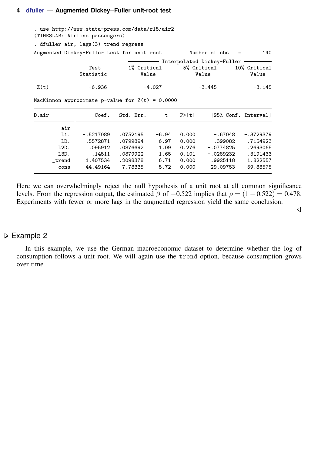| . use http://www.stata-press.com/data/r15/air2<br>(TIMESLAB: Airline passengers) |                   |                      |          |       |                                    |                       |
|----------------------------------------------------------------------------------|-------------------|----------------------|----------|-------|------------------------------------|-----------------------|
| . dfuller air, lags(3) trend regress                                             |                   |                      |          |       |                                    |                       |
| Augmented Dickey-Fuller test for unit root                                       |                   |                      |          |       | Number of obs<br>$\qquad \qquad =$ | 140                   |
|                                                                                  |                   |                      |          |       | Interpolated Dickey-Fuller         |                       |
|                                                                                  | Test<br>Statistic | 1% Critical<br>Value |          |       | 5% Critical<br>Value               | 10% Critical<br>Value |
| Z(t)                                                                             | $-6.936$          |                      | $-4.027$ |       | $-3.445$                           | $-3.145$              |
| MacKinnon approximate p-value for $Z(t) = 0.0000$                                |                   |                      |          |       |                                    |                       |
| D.air                                                                            | Coef.             | Std. Err.            | t.       | P>  t |                                    | [95% Conf. Interval]  |
| air                                                                              |                   |                      |          |       |                                    |                       |
| $L1$ .                                                                           | -.5217089         | .0752195             | $-6.94$  | 0.000 | $-.67048$                          | $-.3729379$           |
| LD.                                                                              | .5572871          | .0799894             | 6.97     | 0.000 | .399082                            | .7154923              |
| $L2D$ .                                                                          | .095912           | .0876692             | 1.09     | 0.276 | $-.0774825$                        | .2693065              |
| $L3D$ .                                                                          | .14511            | .0879922             | 1.65     | 0.101 | $-.0289232$                        | .3191433              |
| _trend                                                                           | 1.407534          | .2098378             | 6.71     | 0.000 | .9925118                           | 1.822557              |
| cons                                                                             | 44.49164          | 7.78335              | 5.72     | 0.000 | 29.09753                           | 59.88575              |

Here we can overwhelmingly reject the null hypothesis of a unit root at all common significance levels. From the regression output, the estimated  $\beta$  of  $-0.522$  implies that  $\rho = (1 - 0.522) = 0.478$ . Experiments with fewer or more lags in the augmented regression yield the same conclusion.

 $\overline{a}$ 

#### Example 2

In this example, we use the German macroeconomic dataset to determine whether the log of consumption follows a unit root. We will again use the trend option, because consumption grows over time.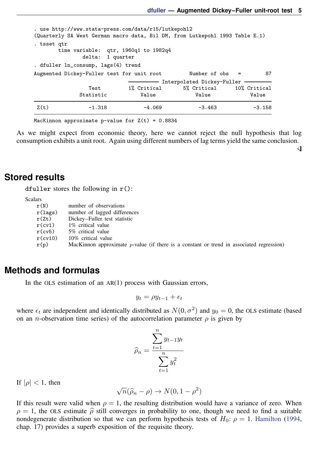◁

| Z(t)        | $-1.318$                                                                          | $-4.069$             | $-3.463$                                                                     | $-3.158$ |
|-------------|-----------------------------------------------------------------------------------|----------------------|------------------------------------------------------------------------------|----------|
|             | Test<br>Statistic                                                                 | 1% Critical<br>Value | Interpolated Dickey-Fuller<br>5% Critical 10% Critical<br>Value              | Value    |
|             | . dfuller ln_consump, lags(4) trend<br>Augmented Dickey-Fuller test for unit root |                      | Number of $obs =$                                                            | 87       |
| . tsset qtr | time variable: qtr, 1960q1 to 1982q4<br>delta: 1 quarter                          |                      |                                                                              |          |
|             | . use http://www.stata-press.com/data/r15/lutkepohl2                              |                      | (Quarterly SA West German macro data, Bil DM, from Lutkepohl 1993 Table E.1) |          |

MacKinnon approximate p-value for  $Z(t) = 0.8834$ 

As we might expect from economic theory, here we cannot reject the null hypothesis that log consumption exhibits a unit root. Again using different numbers of lag terms yield the same conclusion.

<span id="page-4-0"></span>**Stored results**

dfuller stores the following in  $r()$ :

**Scalars** 

| r(N)       | number of observations                                                                      |
|------------|---------------------------------------------------------------------------------------------|
| r(lags)    | number of lagged differences                                                                |
| r(Zt)      | Dickey–Fuller test statistic                                                                |
| $r$ (cv1)  | 1% critical value                                                                           |
| $r$ (cv5)  | 5% critical value                                                                           |
| $r$ (cv10) | 10% critical value                                                                          |
| r(p)       | MacKinnon approximate $p$ -value (if there is a constant or trend in associated regression) |

### <span id="page-4-1"></span>**Methods and formulas**

In the OLS estimation of an AR(1) process with Gaussian errors,

$$
y_t = \rho y_{t-1} + \epsilon_t
$$

where  $\epsilon_t$  are independent and identically distributed as  $N(0, \sigma^2)$  and  $y_0 = 0$ , the OLS estimate (based on an *n*-observation time series) of the autocorrelation parameter  $\rho$  is given by

$$
\widehat{\rho}_n = \frac{\sum_{t=1}^n y_{t-1} y_t}{\sum_{t=1}^n y_t^2}
$$

If  $|\rho|$  < 1, then

$$
\sqrt{n}(\widehat{\rho}_n - \rho) \to N(0, 1 - \rho^2)
$$

If this result were valid when  $\rho = 1$ , the resulting distribution would have a variance of zero. When  $\rho = 1$ , the OLS estimate  $\hat{\rho}$  still converges in probability to one, though we need to find a suitable nondegenerate distribution so that we can perform hypothesis tests of  $H_0$ :  $\rho = 1$ . [Hamilton](#page-5-3) ([1994,](#page-5-3) chap. 17) provides a superb exposition of the requisite theory.